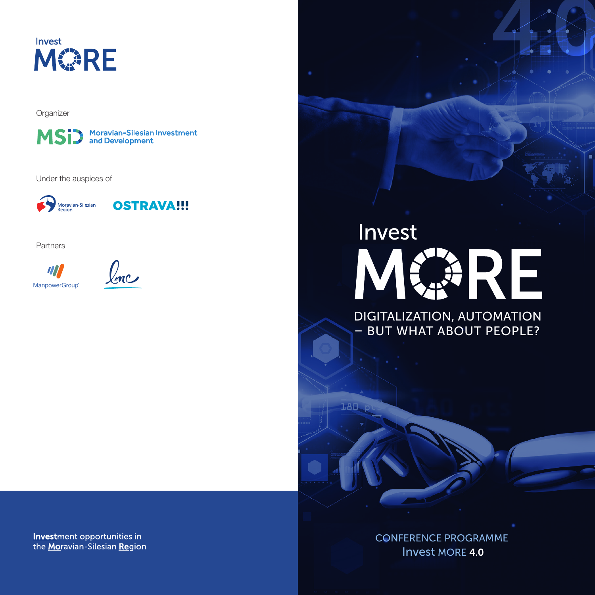

**Organizer** 

Moravian-Silesian Investment<br>and Development **MSi** 

Under the auspices of



**OSTRAVA!!!** 

Partners

ManpowerGroup<sup>®</sup>



## Invest

4.0

DIGITALIZATION, AUTOMATION – BUT WHAT ABOUT PEOPLE?

180

CONFERENCE PROGRAMME Invest MORE 4.0

Investment opportunities in the Moravian-Silesian Region